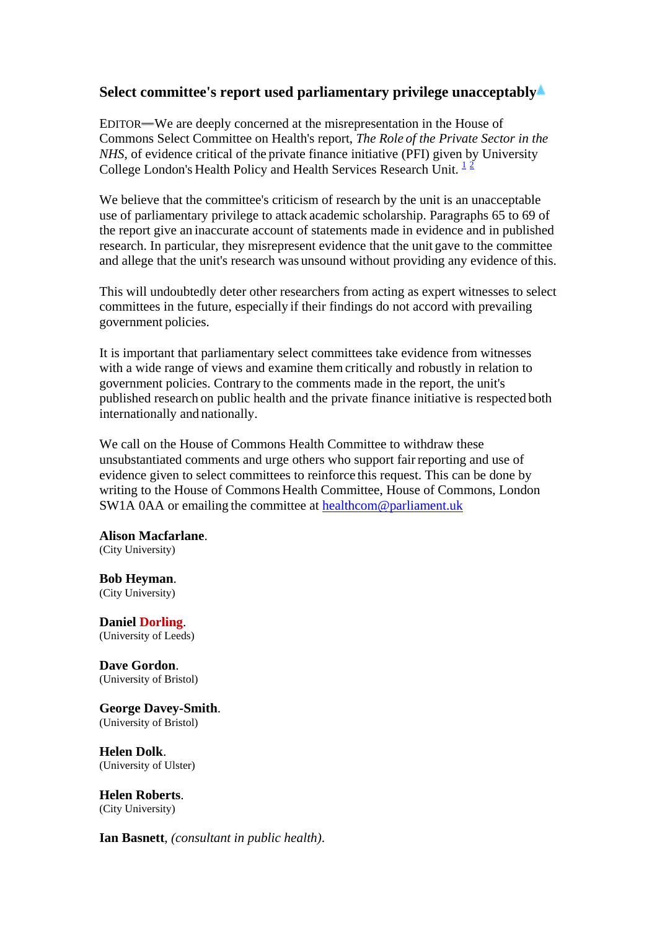## **Select committee's report used parliamentary privilege unacceptably**

EDITOR—We are deeply concerned at the misrepresentation in the House of Commons Select Committee on Health's report, *The Role of the Private Sector in the NHS*, of evidence critical of the private finance initiative (PFI) given by University College London's Health Policy and Health Services Research Unit.  $1^2$ 

We believe that the committee's criticism of research by the unit is an unacceptable use of parliamentary privilege to attack academic scholarship. Paragraphs 65 to 69 of the report give an inaccurate account of statements made in evidence and in published research. In particular, they misrepresent evidence that the unit gave to the committee and allege that the unit's research was unsound without providing any evidence ofthis.

This will undoubtedly deter other researchers from acting as expert witnesses to select committees in the future, especially if their findings do not accord with prevailing government policies.

It is important that parliamentary select committees take evidence from witnesses with a wide range of views and examine them critically and robustly in relation to government policies. Contrary to the comments made in the report, the unit's published research on public health and the private finance initiative is respected both internationally and nationally.

We call on the House of Commons Health Committee to withdraw these unsubstantiated comments and urge others who support fair reporting and use of evidence given to select committees to reinforce this request. This can be done by writing to the House of Commons Health Committee, House of Commons, London SW1A 0AA or emailing the committee at [healthcom@parliament.uk](mailto:healthcom@parliament.uk)

**Alison Macfarlane**. (City University)

**Bob Heyman.**<br>(City University)

**Daniel Dorling.**<br>(University of Leeds)

**Dave Gordon.**<br>(University of Bristol)

**George Davey-Smith**. (University of Bristol)

**Helen Dolk**. (University of Ulster)

**Helen Roberts.**<br>(City University)

**Ian Basnett**, *(consultant in public health)*.